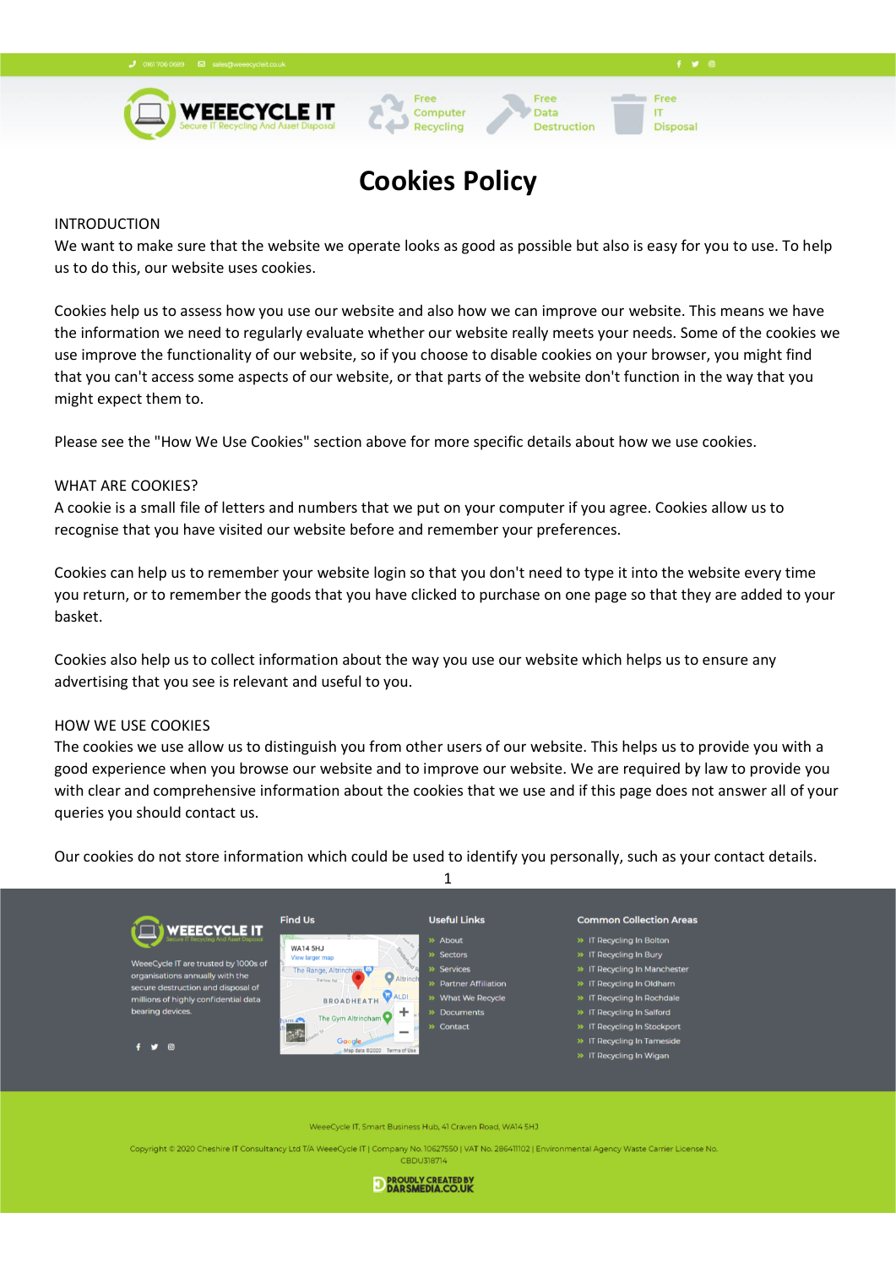

# **Cookies Policy**

Computer

Recycling

Free

Data

Destruction

 $4 \times 0$ 

Free

**Disposal** 

**IT** 

#### INTRODUCTION

We want to make sure that the website we operate looks as good as possible but also is easy for you to use. To help us to do this, our website uses cookies.

Cookies help us to assess how you use our website and also how we can improve our website. This means we have the information we need to regularly evaluate whether our website really meets your needs. Some of the cookies we use improve the functionality of our website, so if you choose to disable cookies on your browser, you might find that you can't access some aspects of our website, or that parts of the website don't function in the way that you might expect them to.

Please see the "How We Use Cookies" section above for more specific details about how we use cookies.

#### WHAT ARE COOKIES?

A cookie is a small file of letters and numbers that we put on your computer if you agree. Cookies allow us to recognise that you have visited our website before and remember your preferences.

Cookies can help us to remember your website login so that you don't need to type it into the website every time you return, or to remember the goods that you have clicked to purchase on one page so that they are added to your basket.

Cookies also help us to collect information about the way you use our website which helps us to ensure any advertising that you see is relevant and useful to you.

#### HOW WE USE COOKIES

The cookies we use allow us to distinguish you from other users of our website. This helps us to provide you with a good experience when you browse our website and to improve our website. We are required by law to provide you with clear and comprehensive information about the cookies that we use and if this page does not answer all of your queries you should contact us.

Our cookies do not store information which could be used to identify you personally, such as your contact details.



WeeeCycle IT, Smart Business Hub, 41 Craven Road, WA14 5HJ

Copyright © 2020 Cheshire IT Consultancy Ltd T/A WeeeCycle IT | Company No. 10627550 | VAT No. 286411102 | Environmental Agency Waste Carrier Lice **CBDU318714** 

D PROUDLY CREATED BY DARSMEDIA.CO.UK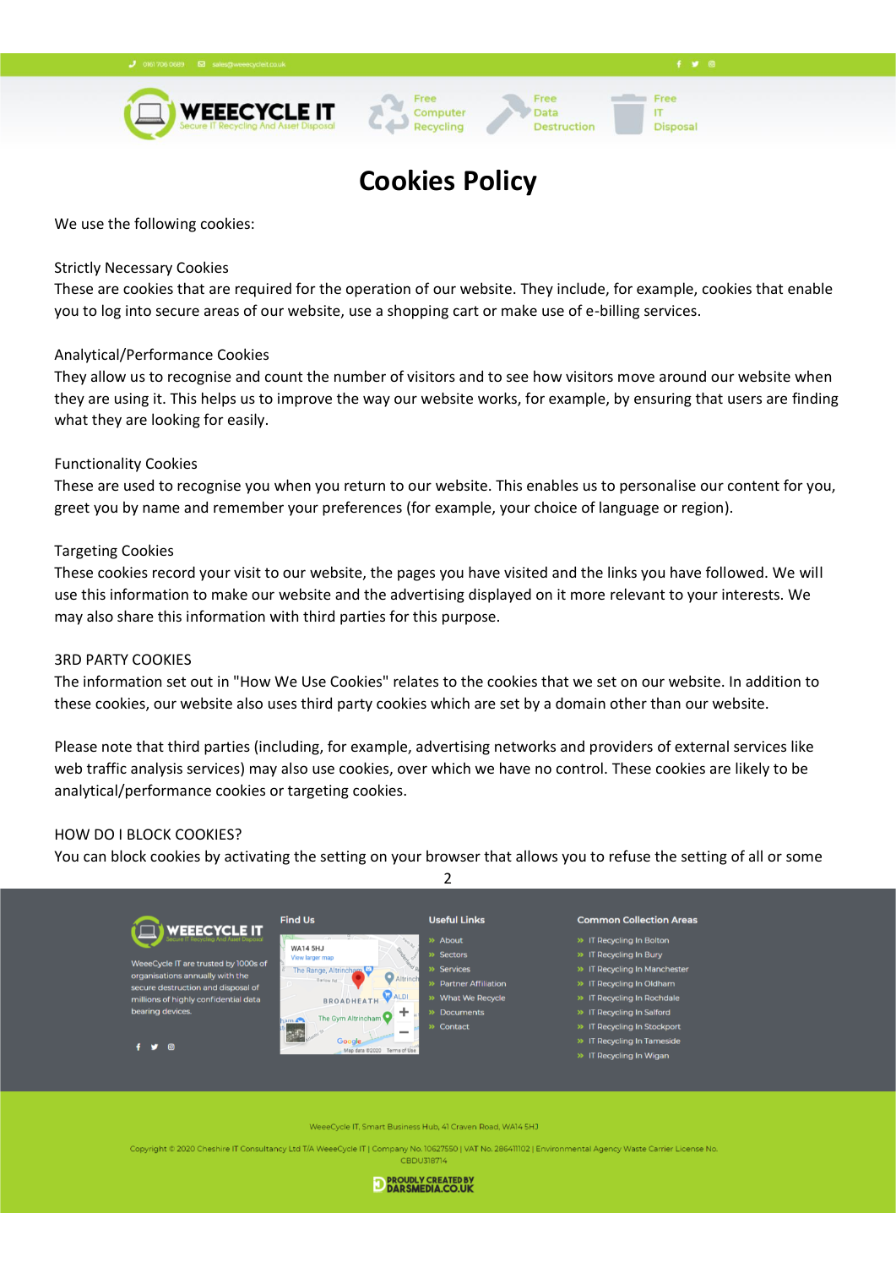

## **Cookies Policy**

Computer

Recycling

Free

Data

Destruction

Free

**Disposal** 

**IT** 

We use the following cookies:

## Strictly Necessary Cookies

These are cookies that are required for the operation of our website. They include, for example, cookies that enable you to log into secure areas of our website, use a shopping cart or make use of e-billing services.

## Analytical/Performance Cookies

They allow us to recognise and count the number of visitors and to see how visitors move around our website when they are using it. This helps us to improve the way our website works, for example, by ensuring that users are finding what they are looking for easily.

## Functionality Cookies

These are used to recognise you when you return to our website. This enables us to personalise our content for you, greet you by name and remember your preferences (for example, your choice of language or region).

## Targeting Cookies

These cookies record your visit to our website, the pages you have visited and the links you have followed. We will use this information to make our website and the advertising displayed on it more relevant to your interests. We may also share this information with third parties for this purpose.

#### 3RD PARTY COOKIES

The information set out in "How We Use Cookies" relates to the cookies that we set on our website. In addition to these cookies, our website also uses third party cookies which are set by a domain other than our website.

Please note that third parties (including, for example, advertising networks and providers of external services like web traffic analysis services) may also use cookies, over which we have no control. These cookies are likely to be analytical/performance cookies or targeting cookies.

## HOW DO I BLOCK COOKIES?

You can block cookies by activating the setting on your browser that allows you to refuse the setting of all or some



WeeeCycle IT, Smart Business Hub, 41 Craven Road, WA14 5HJ

Copyright @ 2020 Cheshire IT Consultancy Ltd T/A WeeeCycle IT | Company No. 10627550 | VAT No. 286411102 | Environmental Agency Waste Carrier Lice **CBDU318714** 

D PROUDLY CREATED BY DARSMEDIA.CO.UK